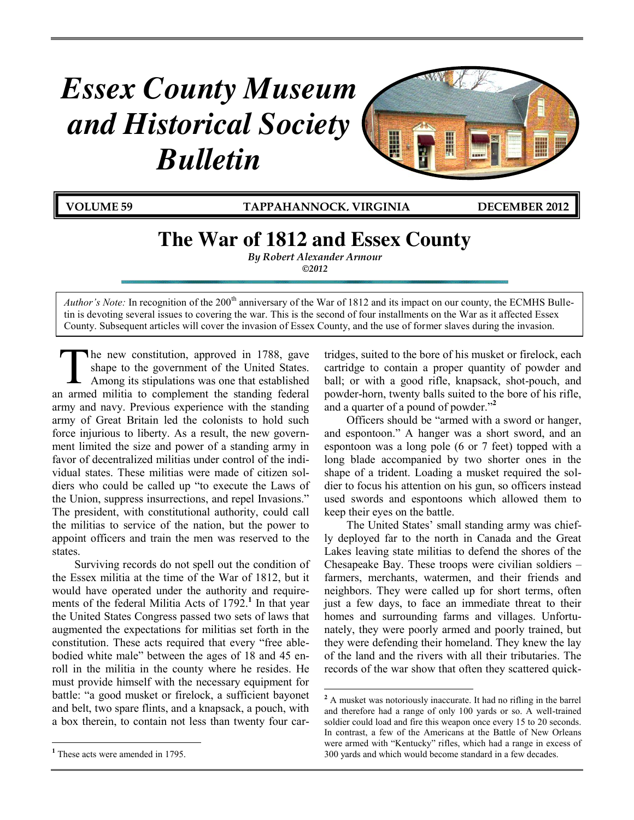# *Essex County Museum and Historical Society Bulletin*



**VOLUME 59 TAPPAHANNOCK, VIRGINIA DECEMBER 2012**

## **The War of 1812 and Essex County**

*By Robert Alexander Armour ©2012*

*Author's Note:* In recognition of the 200<sup>th</sup> anniversary of the War of 1812 and its impact on our county, the ECMHS Bulletin is devoting several issues to covering the war. This is the second of four installments on the War as it affected Essex County. Subsequent articles will cover the invasion of Essex County, and the use of former slaves during the invasion.

 $\overline{a}$ 

he new constitution, approved in 1788, gave shape to the government of the United States. Among its stipulations was one that established an armed militia to complement the standing federal army and navy. Previous experience with the standing army of Great Britain led the colonists to hold such force injurious to liberty. As a result, the new government limited the size and power of a standing army in favor of decentralized militias under control of the individual states. These militias were made of citizen soldiers who could be called up "to execute the Laws of the Union, suppress insurrections, and repel Invasions." The president, with constitutional authority, could call the militias to service of the nation, but the power to appoint officers and train the men was reserved to the states. T

Surviving records do not spell out the condition of the Essex militia at the time of the War of 1812, but it would have operated under the authority and requirements of the federal Militia Acts of 1792.<sup>1</sup> In that year the United States Congress passed two sets of laws that augmented the expectations for militias set forth in the constitution. These acts required that every "free ablebodied white male" between the ages of 18 and 45 enroll in the militia in the county where he resides. He must provide himself with the necessary equipment for battle: "a good musket or firelock, a sufficient bayonet and belt, two spare flints, and a knapsack, a pouch, with a box therein, to contain not less than twenty four car-

 $\overline{a}$ 

tridges, suited to the bore of his musket or firelock, each cartridge to contain a proper quantity of powder and ball; or with a good rifle, knapsack, shot-pouch, and powder-horn, twenty balls suited to the bore of his rifle, and a quarter of a pound of powder."**<sup>2</sup>**

Officers should be "armed with a sword or hanger, and espontoon." A hanger was a short sword, and an espontoon was a long pole (6 or 7 feet) topped with a long blade accompanied by two shorter ones in the shape of a trident. Loading a musket required the soldier to focus his attention on his gun, so officers instead used swords and espontoons which allowed them to keep their eyes on the battle.

The United States' small standing army was chiefly deployed far to the north in Canada and the Great Lakes leaving state militias to defend the shores of the Chesapeake Bay. These troops were civilian soldiers – farmers, merchants, watermen, and their friends and neighbors. They were called up for short terms, often just a few days, to face an immediate threat to their homes and surrounding farms and villages. Unfortunately, they were poorly armed and poorly trained, but they were defending their homeland. They knew the lay of the land and the rivers with all their tributaries. The records of the war show that often they scattered quick-

**<sup>1</sup>** These acts were amended in 1795.

<sup>&</sup>lt;sup>2</sup> A musket was notoriously inaccurate. It had no rifling in the barrel and therefore had a range of only 100 yards or so. A well-trained soldier could load and fire this weapon once every 15 to 20 seconds. In contrast, a few of the Americans at the Battle of New Orleans were armed with "Kentucky" rifles, which had a range in excess of 300 yards and which would become standard in a few decades.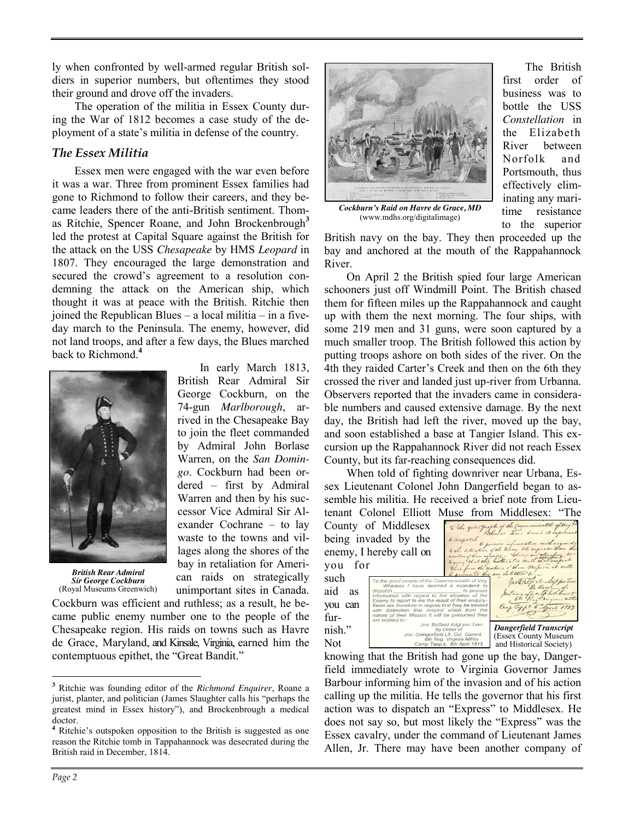ly when confronted by well-armed regular British soldiers in superior numbers, but oftentimes they stood their ground and drove off the invaders.

The operation of the militia in Essex County during the War of 1812 becomes a case study of the deployment of a state's militia in defense of the country.

### *The Essex Militia*

Essex men were engaged with the war even before it was a war. Three from prominent Essex families had gone to Richmond to follow their careers, and they became leaders there of the anti-British sentiment. Thomas Ritchie, Spencer Roane, and John Brockenbrough<sup>3</sup> led the protest at Capital Square against the British for the attack on the USS *Chesapeake* by HMS *Leopard* in 1807. They encouraged the large demonstration and secured the crowd's agreement to a resolution condemning the attack on the American ship, which thought it was at peace with the British. Ritchie then joined the Republican Blues – a local militia – in a fiveday march to the Peninsula. The enemy, however, did not land troops, and after a few days, the Blues marched back to Richmond.**<sup>4</sup>**

> In early March 1813, British Rear Admiral Sir George Cockburn, on the 74-gun *Marlborough*, arrived in the Chesapeake Bay to join the fleet commanded by Admiral John Borlase Warren, on the *San Domingo*. Cockburn had been ordered – first by Admiral Warren and then by his successor Vice Admiral Sir Alexander Cochrane – to lay waste to the towns and villages along the shores of the bay in retaliation for American raids on strategically



*British Rear Admiral Sir George Cockburn* (Royal Museums Greenwich)

unimportant sites in Canada. Cockburn was efficient and ruthless; as a result, he became public enemy number one to the people of the Chesapeake region. His raids on towns such as Havre de Grace, Maryland, and Kinsale, Virginia, earned him the contemptuous epithet, the "Great Bandit."



*Cockburn's Raid on Havre de Grace, MD* (www.mdhs.org/digitalimage)

The British first order of business was to bottle the USS *Constellation* in the Elizabeth River between Norfolk and Portsmouth, thus effectively eliminating any maritime resistance to the superior

British navy on the bay. They then proceeded up the bay and anchored at the mouth of the Rappahannock River.

On April 2 the British spied four large American schooners just off Windmill Point. The British chased them for fifteen miles up the Rappahannock and caught up with them the next morning. The four ships, with some 219 men and 31 guns, were soon captured by a much smaller troop. The British followed this action by putting troops ashore on both sides of the river. On the 4th they raided Carter's Creek and then on the 6th they crossed the river and landed just up-river from Urbanna. Observers reported that the invaders came in considerable numbers and caused extensive damage. By the next day, the British had left the river, moved up the bay, and soon established a base at Tangier Island. This excursion up the Rappahannock River did not reach Essex County, but its far-reaching consequences did.

When told of fighting downriver near Urbana, Essex Lieutenant Colonel John Dangerfield began to assemble his militia. He received a brief note from Lieutenant Colonel Elliott Muse from Middlesex: "The

|                         | юнане союног шиби вназе понг впаднозол.                                                                                                                   |                                                         |                                                                                                 |                                                                | 1. LL V |  |  |
|-------------------------|-----------------------------------------------------------------------------------------------------------------------------------------------------------|---------------------------------------------------------|-------------------------------------------------------------------------------------------------|----------------------------------------------------------------|---------|--|--|
|                         | County of Middlesex                                                                                                                                       |                                                         |                                                                                                 | To the good people of the Commonwealth of ving ?               |         |  |  |
| being invaded by the    |                                                                                                                                                           |                                                         | to comparable there are denis it experient<br>to the situation of the Beam the regions there is |                                                                |         |  |  |
| enemy, I hereby call on |                                                                                                                                                           |                                                         |                                                                                                 | routh of them enouing - these an observe to                    |         |  |  |
| you for                 |                                                                                                                                                           |                                                         |                                                                                                 | Which from the nature of their majorn it will                  |         |  |  |
| such                    | To the good people of the Commonwealth of Virg                                                                                                            |                                                         |                                                                                                 | be presumed they are entitled to -<br>In Palfiste Art protince |         |  |  |
| aid as                  | Whereas I have deemed it expedient to<br>dispatch to procure<br>pertainguffer of bol comment<br>information with regard to the situation of the           |                                                         |                                                                                                 |                                                                |         |  |  |
| you can                 | Enemy to report to me the result of their enquiry-<br>these are therefore to require that they be treated<br>with distinction that respect which from the | Camp Lappe 6 April 1813                                 |                                                                                                 |                                                                |         |  |  |
| fur-                    | nature of their Mission it will be presumed they<br>are entitled to -                                                                                     |                                                         |                                                                                                 |                                                                |         |  |  |
| nish."                  | Jno: Belfield Adgt.pro:Tem:<br>By Order of<br>Jno: Daingerfield Lft. Col. Commt.                                                                          |                                                         |                                                                                                 | <b>Dangerfield Transcript</b>                                  |         |  |  |
| Not                     |                                                                                                                                                           | 6th Reg Virginia Militia<br>Camp Tapp.k. 6th April 1813 |                                                                                                 | (Essex County Museum<br>and Historical Society)                |         |  |  |

knowing that the British had gone up the bay, Dangerfield immediately wrote to Virginia Governor James Barbour informing him of the invasion and of his action calling up the militia. He tells the governor that his first action was to dispatch an "Express" to Middlesex. He does not say so, but most likely the "Express" was the Essex cavalry, under the command of Lieutenant James Allen, Jr. There may have been another company of

 $\overline{a}$ 

**<sup>3</sup>** Ritchie was founding editor of the *Richmond Enquirer*, Roane a jurist, planter, and politician (James Slaughter calls his "perhaps the greatest mind in Essex history"), and Brockenbrough a medical doctor.

**<sup>4</sup>** Ritchie's outspoken opposition to the British is suggested as one reason the Ritchie tomb in Tappahannock was desecrated during the British raid in December, 1814.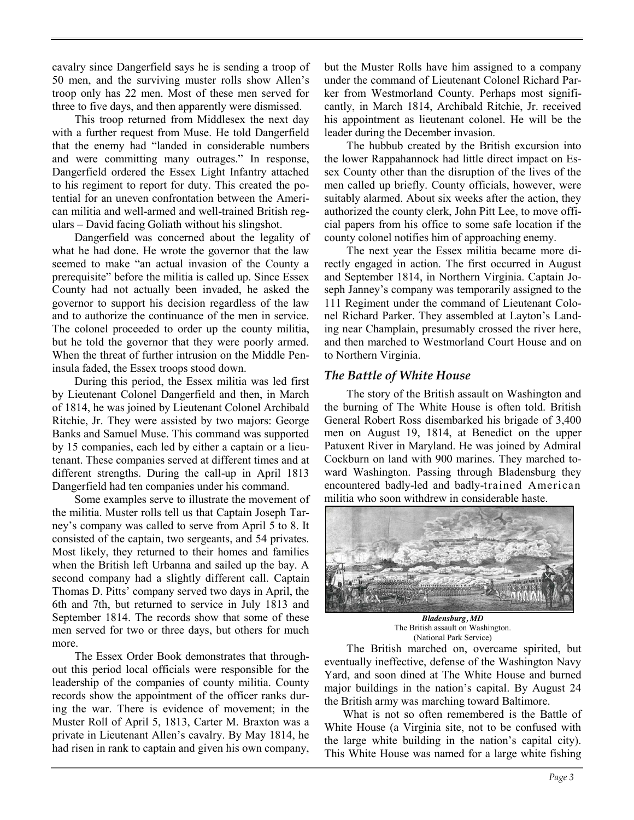cavalry since Dangerfield says he is sending a troop of 50 men, and the surviving muster rolls show Allen's troop only has 22 men. Most of these men served for three to five days, and then apparently were dismissed.

This troop returned from Middlesex the next day with a further request from Muse. He told Dangerfield that the enemy had "landed in considerable numbers and were committing many outrages." In response, Dangerfield ordered the Essex Light Infantry attached to his regiment to report for duty. This created the potential for an uneven confrontation between the American militia and well-armed and well-trained British regulars – David facing Goliath without his slingshot.

Dangerfield was concerned about the legality of what he had done. He wrote the governor that the law seemed to make "an actual invasion of the County a prerequisite" before the militia is called up. Since Essex County had not actually been invaded, he asked the governor to support his decision regardless of the law and to authorize the continuance of the men in service. The colonel proceeded to order up the county militia, but he told the governor that they were poorly armed. When the threat of further intrusion on the Middle Peninsula faded, the Essex troops stood down.

During this period, the Essex militia was led first by Lieutenant Colonel Dangerfield and then, in March of 1814, he was joined by Lieutenant Colonel Archibald Ritchie, Jr. They were assisted by two majors: George Banks and Samuel Muse. This command was supported by 15 companies, each led by either a captain or a lieutenant. These companies served at different times and at different strengths. During the call-up in April 1813 Dangerfield had ten companies under his command.

Some examples serve to illustrate the movement of the militia. Muster rolls tell us that Captain Joseph Tarney's company was called to serve from April 5 to 8. It consisted of the captain, two sergeants, and 54 privates. Most likely, they returned to their homes and families when the British left Urbanna and sailed up the bay. A second company had a slightly different call. Captain Thomas D. Pitts' company served two days in April, the 6th and 7th, but returned to service in July 1813 and September 1814. The records show that some of these men served for two or three days, but others for much more.

The Essex Order Book demonstrates that throughout this period local officials were responsible for the leadership of the companies of county militia. County records show the appointment of the officer ranks during the war. There is evidence of movement; in the Muster Roll of April 5, 1813, Carter M. Braxton was a private in Lieutenant Allen's cavalry. By May 1814, he had risen in rank to captain and given his own company,

but the Muster Rolls have him assigned to a company under the command of Lieutenant Colonel Richard Parker from Westmorland County. Perhaps most significantly, in March 1814, Archibald Ritchie, Jr. received his appointment as lieutenant colonel. He will be the leader during the December invasion.

The hubbub created by the British excursion into the lower Rappahannock had little direct impact on Essex County other than the disruption of the lives of the men called up briefly. County officials, however, were suitably alarmed. About six weeks after the action, they authorized the county clerk, John Pitt Lee, to move official papers from his office to some safe location if the county colonel notifies him of approaching enemy.

The next year the Essex militia became more directly engaged in action. The first occurred in August and September 1814, in Northern Virginia. Captain Joseph Janney's company was temporarily assigned to the 111 Regiment under the command of Lieutenant Colonel Richard Parker. They assembled at Layton's Landing near Champlain, presumably crossed the river here, and then marched to Westmorland Court House and on to Northern Virginia.

## *The Battle of White House*

The story of the British assault on Washington and the burning of The White House is often told. British General Robert Ross disembarked his brigade of 3,400 men on August 19, 1814, at Benedict on the upper Patuxent River in Maryland. He was joined by Admiral Cockburn on land with 900 marines. They marched toward Washington. Passing through Bladensburg they encountered badly-led and badly-trained American militia who soon withdrew in considerable haste.



*Bladensburg, MD*  The British assault on Washington. (National Park Service)

The British marched on, overcame spirited, but eventually ineffective, defense of the Washington Navy Yard, and soon dined at The White House and burned major buildings in the nation's capital. By August 24 the British army was marching toward Baltimore.

What is not so often remembered is the Battle of White House (a Virginia site, not to be confused with the large white building in the nation's capital city). This White House was named for a large white fishing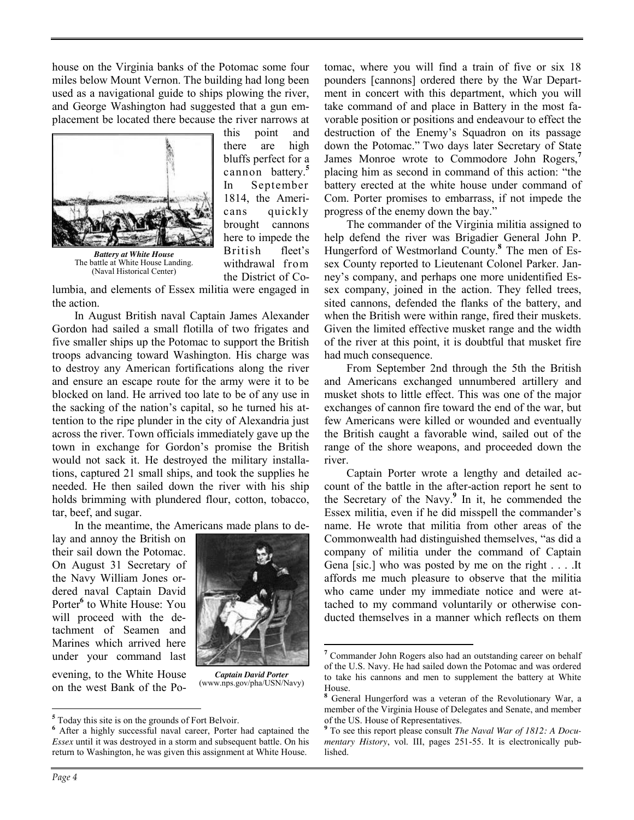house on the Virginia banks of the Potomac some four miles below Mount Vernon. The building had long been used as a navigational guide to ships plowing the river, and George Washington had suggested that a gun emplacement be located there because the river narrows at



*Battery at White House* The battle at White House Landing. (Naval Historical Center)

this point and there are high bluffs perfect for a cannon battery.**<sup>5</sup>** In September 1814, the Americans quickly brought cannons here to impede the British fleet's withdrawal from the District of Co-

lumbia, and elements of Essex militia were engaged in the action.

In August British naval Captain James Alexander Gordon had sailed a small flotilla of two frigates and five smaller ships up the Potomac to support the British troops advancing toward Washington. His charge was to destroy any American fortifications along the river and ensure an escape route for the army were it to be blocked on land. He arrived too late to be of any use in the sacking of the nation's capital, so he turned his attention to the ripe plunder in the city of Alexandria just across the river. Town officials immediately gave up the town in exchange for Gordon's promise the British would not sack it. He destroyed the military installations, captured 21 small ships, and took the supplies he needed. He then sailed down the river with his ship holds brimming with plundered flour, cotton, tobacco, tar, beef, and sugar.

In the meantime, the Americans made plans to de-

lay and annoy the British on their sail down the Potomac. On August 31 Secretary of the Navy William Jones ordered naval Captain David Porter**<sup>6</sup>** to White House: You will proceed with the detachment of Seamen and Marines which arrived here under your command last

evening, to the White House on the west Bank of the Po-



 $\overline{a}$ 

*Captain David Porter* (www.nps.gov/pha/USN/Navy)

tomac, where you will find a train of five or six 18 pounders [cannons] ordered there by the War Department in concert with this department, which you will take command of and place in Battery in the most favorable position or positions and endeavour to effect the destruction of the Enemy's Squadron on its passage down the Potomac." Two days later Secretary of State James Monroe wrote to Commodore John Rogers,**<sup>7</sup>** placing him as second in command of this action: "the battery erected at the white house under command of Com. Porter promises to embarrass, if not impede the progress of the enemy down the bay."

The commander of the Virginia militia assigned to help defend the river was Brigadier General John P. Hungerford of Westmorland County.**<sup>8</sup>** The men of Essex County reported to Lieutenant Colonel Parker. Janney's company, and perhaps one more unidentified Essex company, joined in the action. They felled trees, sited cannons, defended the flanks of the battery, and when the British were within range, fired their muskets. Given the limited effective musket range and the width of the river at this point, it is doubtful that musket fire had much consequence.

From September 2nd through the 5th the British and Americans exchanged unnumbered artillery and musket shots to little effect. This was one of the major exchanges of cannon fire toward the end of the war, but few Americans were killed or wounded and eventually the British caught a favorable wind, sailed out of the range of the shore weapons, and proceeded down the river.

Captain Porter wrote a lengthy and detailed account of the battle in the after-action report he sent to the Secretary of the Navy.**<sup>9</sup>** In it, he commended the Essex militia, even if he did misspell the commander's name. He wrote that militia from other areas of the Commonwealth had distinguished themselves, "as did a company of militia under the command of Captain Gena [sic.] who was posted by me on the right . . . .It affords me much pleasure to observe that the militia who came under my immediate notice and were attached to my command voluntarily or otherwise conducted themselves in a manner which reflects on them

 $\overline{a}$ 

**<sup>5</sup>** Today this site is on the grounds of Fort Belvoir.

**<sup>6</sup>** After a highly successful naval career, Porter had captained the *Essex* until it was destroyed in a storm and subsequent battle. On his return to Washington, he was given this assignment at White House.

**<sup>7</sup>** Commander John Rogers also had an outstanding career on behalf of the U.S. Navy. He had sailed down the Potomac and was ordered to take his cannons and men to supplement the battery at White House.

**<sup>8</sup>** General Hungerford was a veteran of the Revolutionary War, a member of the Virginia House of Delegates and Senate, and member of the US. House of Representatives.

**<sup>9</sup>** To see this report please consult *The Naval War of 1812: A Documentary History*, vol. III, pages 251-55. It is electronically published.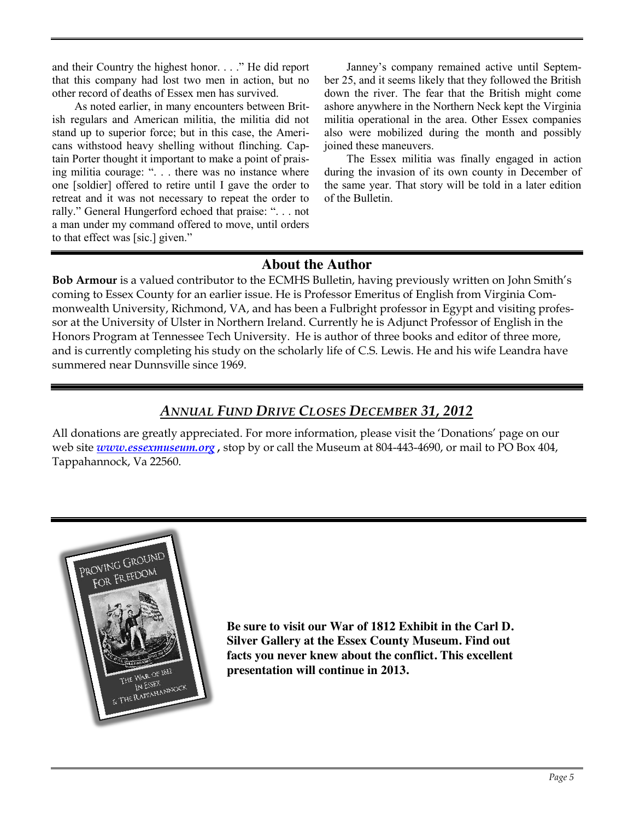and their Country the highest honor. . . ." He did report that this company had lost two men in action, but no other record of deaths of Essex men has survived.

As noted earlier, in many encounters between British regulars and American militia, the militia did not stand up to superior force; but in this case, the Americans withstood heavy shelling without flinching. Captain Porter thought it important to make a point of praising militia courage: ". . . there was no instance where one [soldier] offered to retire until I gave the order to retreat and it was not necessary to repeat the order to rally." General Hungerford echoed that praise: ". . . not a man under my command offered to move, until orders to that effect was [sic.] given."

Janney's company remained active until September 25, and it seems likely that they followed the British down the river. The fear that the British might come ashore anywhere in the Northern Neck kept the Virginia militia operational in the area. Other Essex companies also were mobilized during the month and possibly joined these maneuvers.

The Essex militia was finally engaged in action during the invasion of its own county in December of the same year. That story will be told in a later edition of the Bulletin.

## **About the Author**

**Bob Armour** is a valued contributor to the ECMHS Bulletin, having previously written on John Smith's coming to Essex County for an earlier issue. He is Professor Emeritus of English from Virginia Commonwealth University, Richmond, VA, and has been a Fulbright professor in Egypt and visiting professor at the University of Ulster in Northern Ireland. Currently he is Adjunct Professor of English in the Honors Program at Tennessee Tech University. He is author of three books and editor of three more, and is currently completing his study on the scholarly life of C.S. Lewis. He and his wife Leandra have summered near Dunnsville since 1969.

## *ANNUAL FUND DRIVE CLOSES DECEMBER 31, 2012*

All donations are greatly appreciated. For more information, please visit the 'Donations' page on our web site *[www.essexmuseum.org](http://www.essexmuseum.org/)*, stop by or call the Museum at 804-443-4690, or mail to PO Box 404, Tappahannock, Va 22560.



**Be sure to visit our War of 1812 Exhibit in the Carl D. Silver Gallery at the Essex County Museum. Find out facts you never knew about the conflict. This excellent presentation will continue in 2013.**